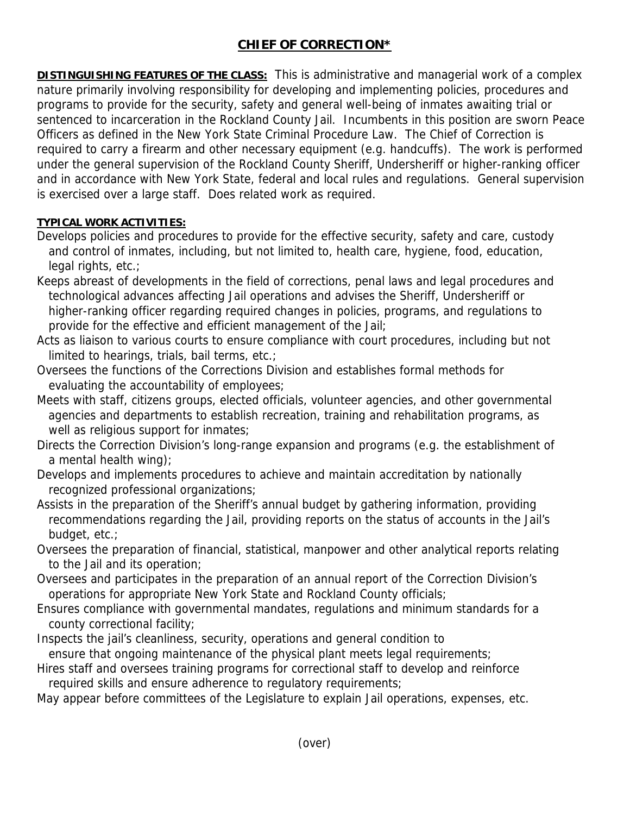## **CHIEF OF CORRECTION\***

**DISTINGUISHING FEATURES OF THE CLASS:** This is administrative and managerial work of a complex nature primarily involving responsibility for developing and implementing policies, procedures and programs to provide for the security, safety and general well-being of inmates awaiting trial or sentenced to incarceration in the Rockland County Jail. Incumbents in this position are sworn Peace Officers as defined in the New York State Criminal Procedure Law. The Chief of Correction is required to carry a firearm and other necessary equipment (e.g. handcuffs). The work is performed under the general supervision of the Rockland County Sheriff, Undersheriff or higher-ranking officer and in accordance with New York State, federal and local rules and regulations. General supervision is exercised over a large staff. Does related work as required.

## **TYPICAL WORK ACTIVITIES:**

- Develops policies and procedures to provide for the effective security, safety and care, custody and control of inmates, including, but not limited to, health care, hygiene, food, education, legal rights, etc.;
- Keeps abreast of developments in the field of corrections, penal laws and legal procedures and technological advances affecting Jail operations and advises the Sheriff, Undersheriff or higher-ranking officer regarding required changes in policies, programs, and regulations to provide for the effective and efficient management of the Jail;
- Acts as liaison to various courts to ensure compliance with court procedures, including but not limited to hearings, trials, bail terms, etc.;
- Oversees the functions of the Corrections Division and establishes formal methods for evaluating the accountability of employees;
- Meets with staff, citizens groups, elected officials, volunteer agencies, and other governmental agencies and departments to establish recreation, training and rehabilitation programs, as well as religious support for inmates;
- Directs the Correction Division's long-range expansion and programs (e.g. the establishment of a mental health wing);
- Develops and implements procedures to achieve and maintain accreditation by nationally recognized professional organizations;
- Assists in the preparation of the Sheriff's annual budget by gathering information, providing recommendations regarding the Jail, providing reports on the status of accounts in the Jail's budget, etc.;
- Oversees the preparation of financial, statistical, manpower and other analytical reports relating to the Jail and its operation;
- Oversees and participates in the preparation of an annual report of the Correction Division's operations for appropriate New York State and Rockland County officials;
- Ensures compliance with governmental mandates, regulations and minimum standards for a county correctional facility;
- Inspects the jail's cleanliness, security, operations and general condition to
- ensure that ongoing maintenance of the physical plant meets legal requirements;
- Hires staff and oversees training programs for correctional staff to develop and reinforce required skills and ensure adherence to regulatory requirements;

May appear before committees of the Legislature to explain Jail operations, expenses, etc.